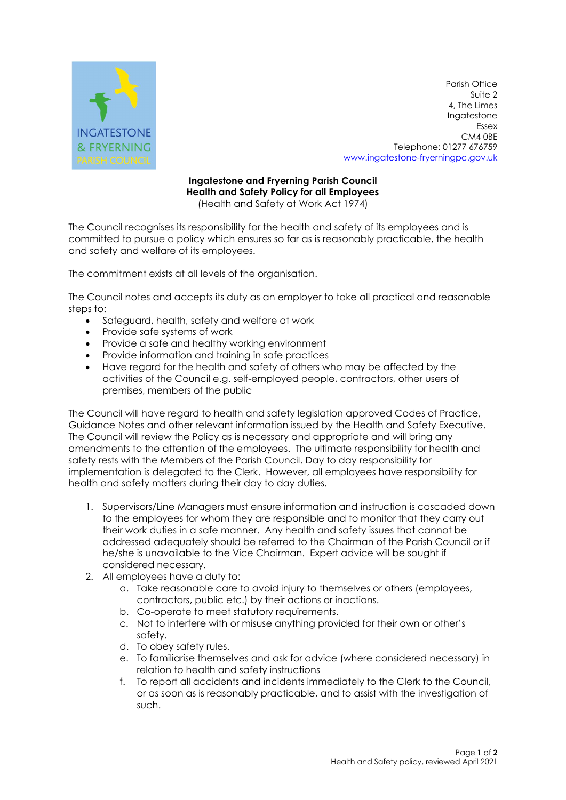

Parish Office Suite 2 4, The Limes Ingatestone Essex CM4 0BE Telephone: 01277 676759 www.ingatestone-fryerningpc.gov.uk

## Ingatestone and Fryerning Parish Council Health and Safety Policy for all Employees (Health and Safety at Work Act 1974)

The Council recognises its responsibility for the health and safety of its employees and is committed to pursue a policy which ensures so far as is reasonably practicable, the health and safety and welfare of its employees.

The commitment exists at all levels of the organisation.

The Council notes and accepts its duty as an employer to take all practical and reasonable steps to:

- Safeguard, health, safety and welfare at work
- Provide safe systems of work
- Provide a safe and healthy working environment
- Provide information and training in safe practices
- Have regard for the health and safety of others who may be affected by the activities of the Council e.g. self-employed people, contractors, other users of premises, members of the public

The Council will have regard to health and safety legislation approved Codes of Practice, Guidance Notes and other relevant information issued by the Health and Safety Executive. The Council will review the Policy as is necessary and appropriate and will bring any amendments to the attention of the employees. The ultimate responsibility for health and safety rests with the Members of the Parish Council. Day to day responsibility for implementation is delegated to the Clerk. However, all employees have responsibility for health and safety matters during their day to day duties.

- 1. Supervisors/Line Managers must ensure information and instruction is cascaded down to the employees for whom they are responsible and to monitor that they carry out their work duties in a safe manner. Any health and safety issues that cannot be addressed adequately should be referred to the Chairman of the Parish Council or if he/she is unavailable to the Vice Chairman. Expert advice will be sought if considered necessary.
- 2. All employees have a duty to:
	- a. Take reasonable care to avoid injury to themselves or others (employees, contractors, public etc.) by their actions or inactions.
	- b. Co-operate to meet statutory requirements.
	- c. Not to interfere with or misuse anything provided for their own or other's safety.
	- d. To obey safety rules.
	- e. To familiarise themselves and ask for advice (where considered necessary) in relation to health and safety instructions
	- f. To report all accidents and incidents immediately to the Clerk to the Council, or as soon as is reasonably practicable, and to assist with the investigation of such.